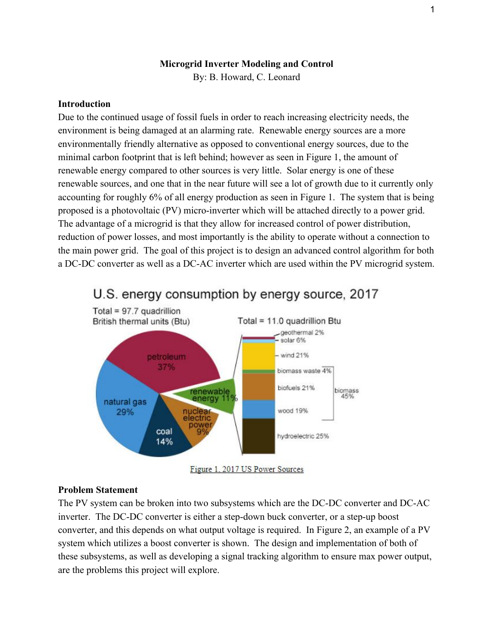## **Microgrid Inverter Modeling and Control**

By: B. Howard, C. Leonard

## **Introduction**

Due to the continued usage of fossil fuels in order to reach increasing electricity needs, the environment is being damaged at an alarming rate. Renewable energy sources are a more environmentally friendly alternative as opposed to conventional energy sources, due to the minimal carbon footprint that is left behind; however as seen in Figure 1, the amount of renewable energy compared to other sources is very little. Solar energy is one of these renewable sources, and one that in the near future will see a lot of growth due to it currently only accounting for roughly 6% of all energy production as seen in Figure 1. The system that is being proposed is a photovoltaic (PV) micro-inverter which will be attached directly to a power grid. The advantage of a microgrid is that they allow for increased control of power distribution, reduction of power losses, and most importantly is the ability to operate without a connection to the main power grid. The goal of this project is to design an advanced control algorithm for both a DC-DC converter as well as a DC-AC inverter which are used within the PV microgrid system.



# U.S. energy consumption by energy source, 2017

#### **Problem Statement**

The PV system can be broken into two subsystems which are the DC-DC converter and DC-AC inverter. The DC-DC converter is either a step-down buck converter, or a step-up boost converter, and this depends on what output voltage is required. In Figure 2, an example of a PV system which utilizes a boost converter is shown. The design and implementation of both of these subsystems, as well as developing a signal tracking algorithm to ensure max power output, are the problems this project will explore.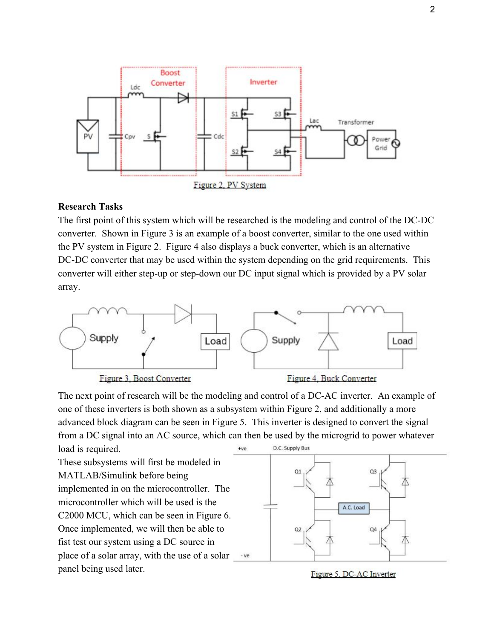

#### **Research Tasks**

The first point of this system which will be researched is the modeling and control of the DC-DC converter. Shown in Figure 3 is an example of a boost converter, similar to the one used within the PV system in Figure 2. Figure 4 also displays a buck converter, which is an alternative DC-DC converter that may be used within the system depending on the grid requirements. This converter will either step-up or step-down our DC input signal which is provided by a PV solar array.



The next point of research will be the modeling and control of a DC-AC inverter. An example of one of these inverters is both shown as a subsystem within Figure 2, and additionally a more advanced block diagram can be seen in Figure 5. This inverter is designed to convert the signal from a DC signal into an AC source, which can then be used by the microgrid to power whatever

load is required. These subsystems will first be modeled in MATLAB/Simulink before being implemented in on the microcontroller. The microcontroller which will be used is the C2000 MCU, which can be seen in Figure 6. Once implemented, we will then be able to fist test our system using a DC source in place of a solar array, with the use of a solar panel being used later.



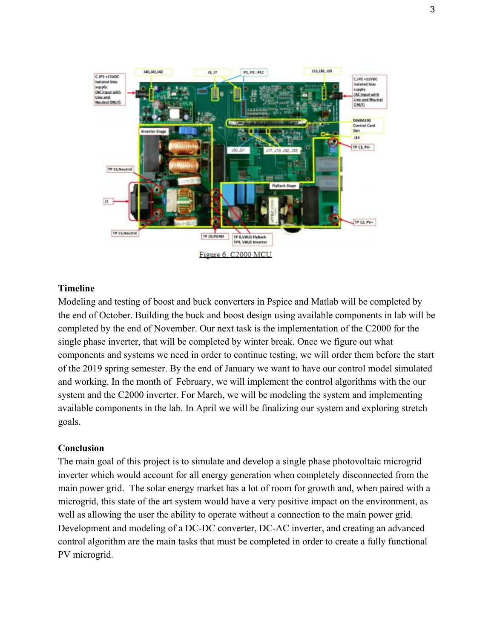

# **Timeline**

Modeling and testing of boost and buck converters in Pspice and Matlab will be completed by the end of October. Building the buck and boost design using available components in lab will be completed by the end of November. Our next task is the implementation of the C2000 for the single phase inverter, that will be completed by winter break. Once we figure out what components and systems we need in order to continue testing, we will order them before the start of the 2019 spring semester. By the end of January we want to have our control model simulated and working. In the month of February, we will implement the control algorithms with the our system and the C2000 inverter. For March, we will be modeling the system and implementing available components in the lab. In April we will be finalizing our system and exploring stretch goals.

#### **Conclusion**

The main goal of this project is to simulate and develop a single phase photovoltaic microgrid inverter which would account for all energy generation when completely disconnected from the main power grid. The solar energy market has a lot of room for growth and, when paired with a microgrid, this state of the art system would have a very positive impact on the environment, as well as allowing the user the ability to operate without a connection to the main power grid. Development and modeling of a DC-DC converter, DC-AC inverter, and creating an advanced control algorithm are the main tasks that must be completed in order to create a fully functional PV microgrid.